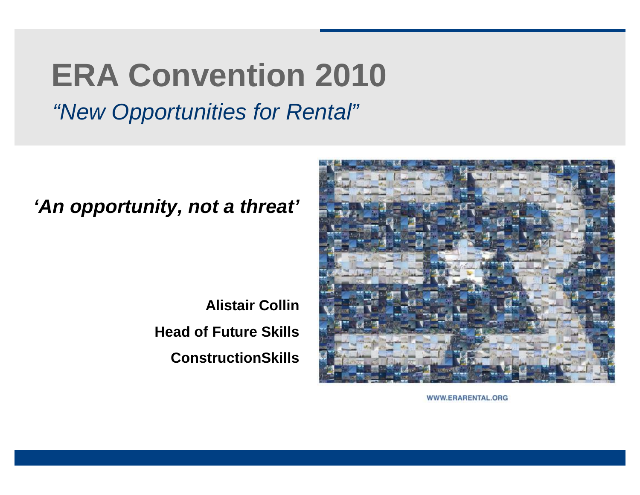# **ERA Convention 2010**

*"New Opportunities for Rental"*

#### *'An opportunity, not a threat'*

**Alistair Collin Head of Future Skills ConstructionSkills**



WWW.ERARENTAL.ORG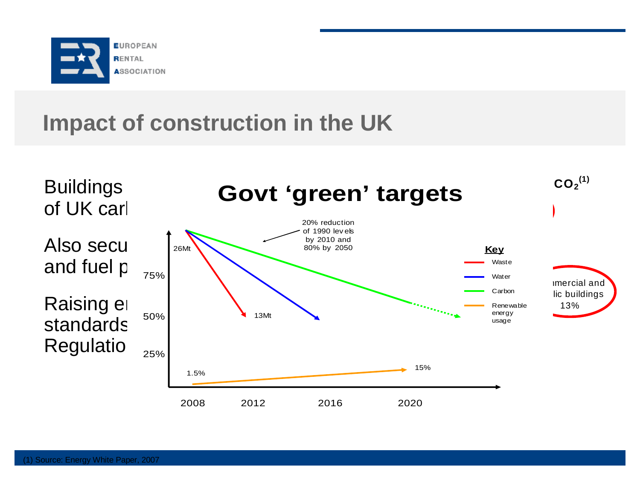

#### **Impact of construction in the UK**

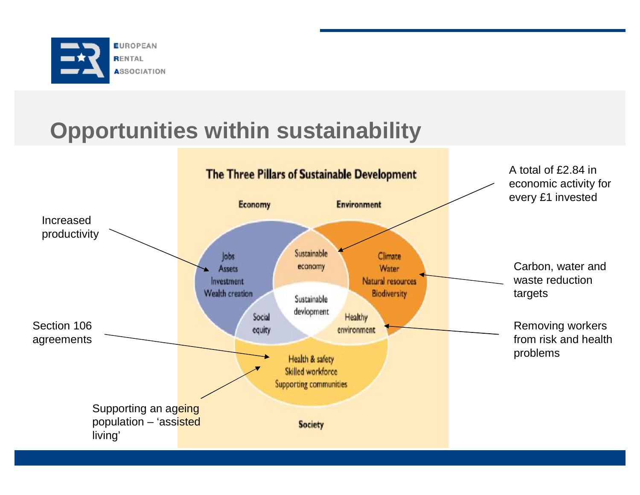

### **Opportunities within sustainability**

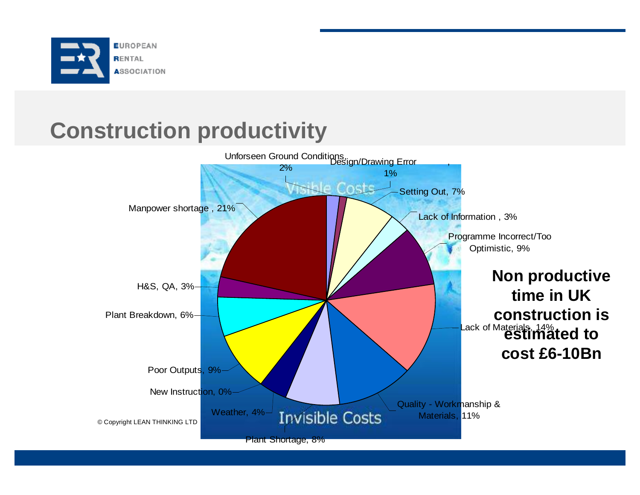

#### **Construction productivity**

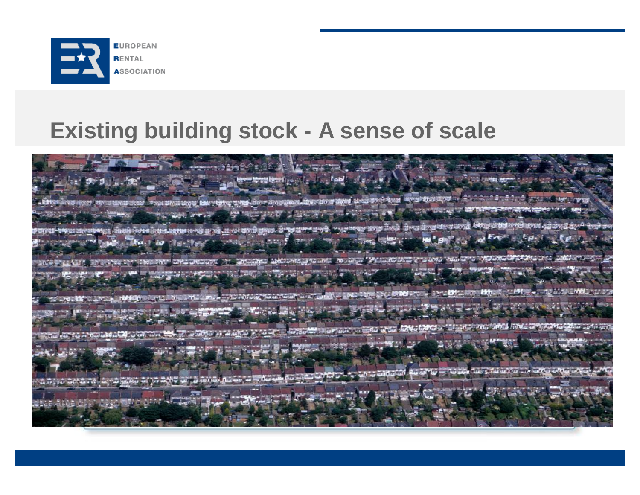

#### **Existing building stock - A sense of scale**

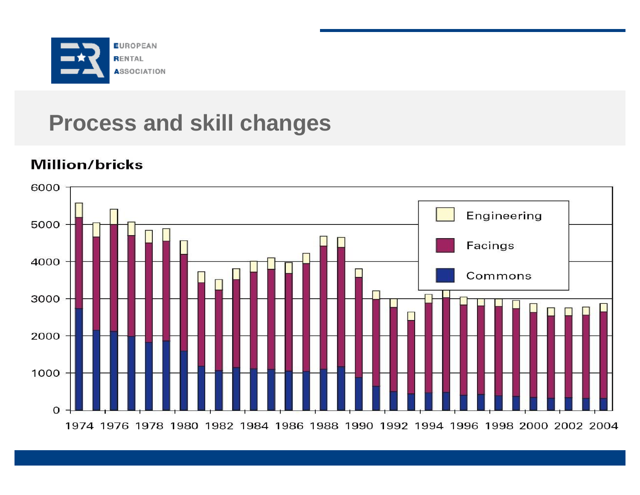

#### **Process and skill changes**

#### **Million/bricks**

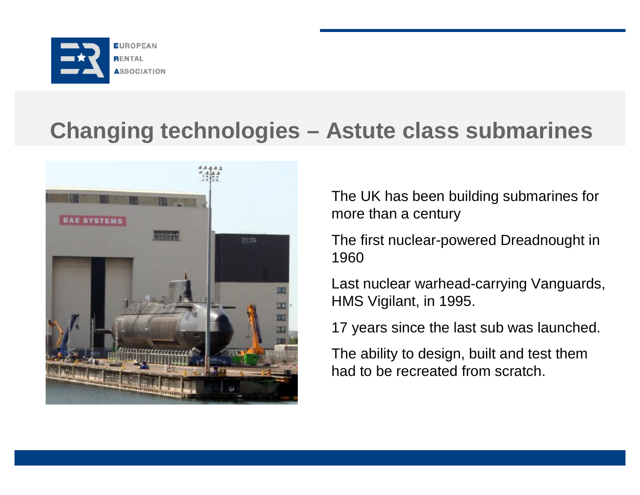

#### **Changing technologies – Astute class submarines**



The UK has been building submarines for more than a century

The first nuclear-powered Dreadnought in 1960

Last nuclear warhead-carrying Vanguards, HMS Vigilant, in 1995.

17 years since the last sub was launched.

The ability to design, built and test them had to be recreated from scratch.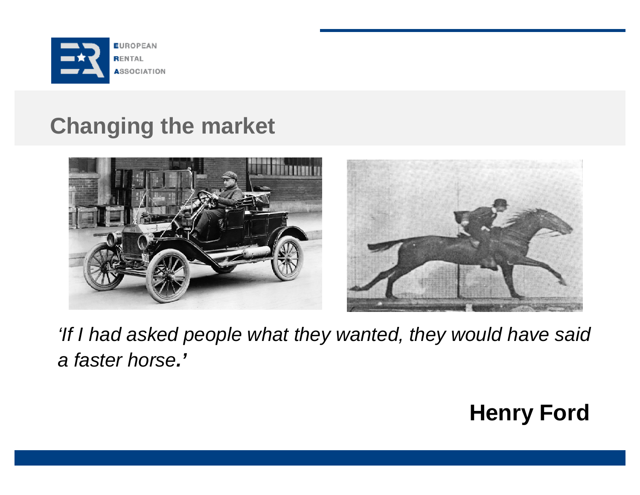

#### **Changing the market**





*'If I had asked people what they wanted, they would have said a faster horse.'*

### **Henry Ford**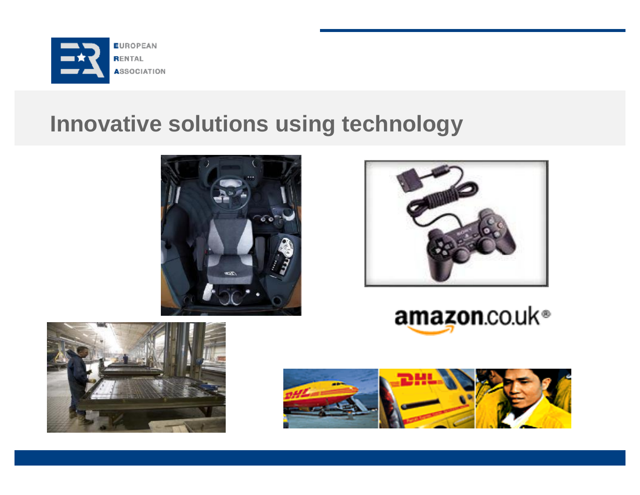

#### **Innovative solutions using technology**





# amazon.co.uk®



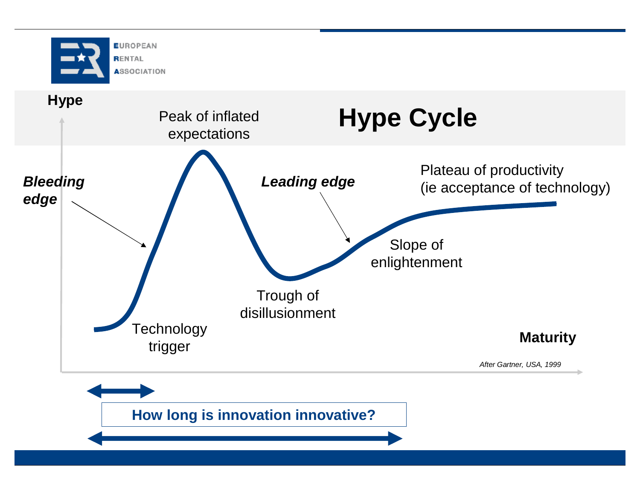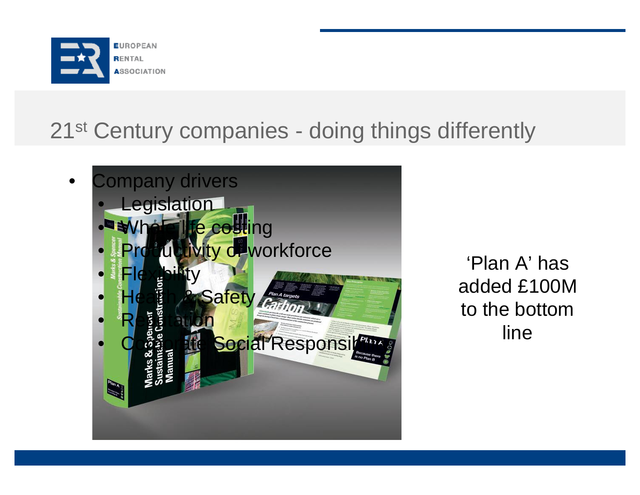

## 21<sup>st</sup> Century companies - doing things differently



'Plan A' has added £100M to the bottom line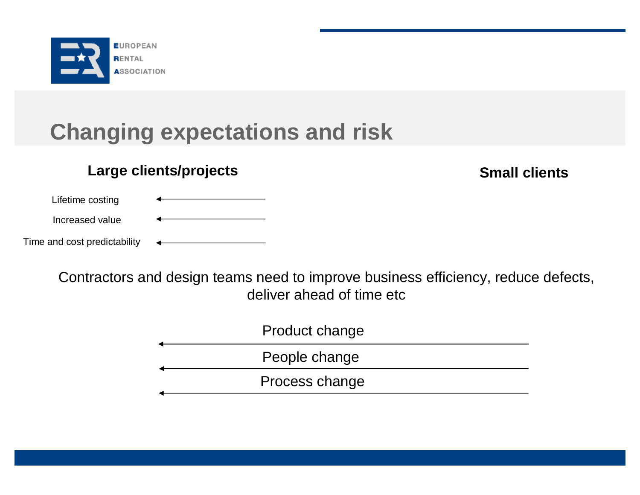

### **Changing expectations and risk**

#### **Large clients/projects Small clients Small clients**

Lifetime costing

Increased value

Time and cost predictability

Contractors and design teams need to improve business efficiency, reduce defects, deliver ahead of time etc

| Product change |
|----------------|
| People change  |
| Process change |
|                |